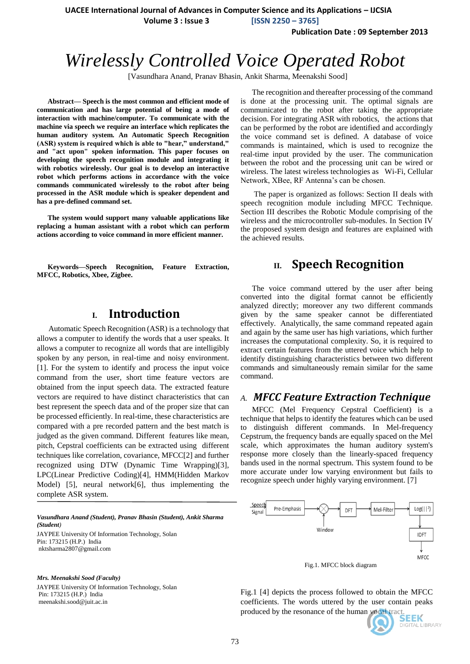**UACEE International Journal of Advances in Computer Science and its Applications – IJCSIA**

 **Volume 3 : Issue 3 [ISSN 2250 – 3765]**

**Publication Date : 09 September 2013**

# *Wirelessly Controlled Voice Operated Robot*

[Vasundhara Anand, Pranav Bhasin, Ankit Sharma, Meenakshi Sood]

**Abstract— Speech is the most common and efficient mode of communication and has large potential of being a mode of interaction with machine/computer. To communicate with the machine via speech we require an interface which replicates the human auditory system. An Automatic Speech Recognition (ASR) system is required which is able to "hear," understand," and "act upon" spoken information. This paper focuses on developing the speech recognition module and integrating it with robotics wirelessly. Our goal is to develop an interactive robot which performs actions in accordance with the voice commands communicated wirelessly to the robot after being processed in the ASR module which is speaker dependent and has a pre-defined command set.** 

**The system would support many valuable applications like replacing a human assistant with a robot which can perform actions according to voice command in more efficient manner.** 

**Keywords—Speech Recognition, Feature Extraction, MFCC, Robotics, Xbee, Zigbee.** 

### **I. Introduction**

 Automatic Speech Recognition (ASR) is a technology that allows a computer to identify the words that a user speaks. It allows a computer to recognize all words that are intelligibly spoken by any person, in real-time and noisy environment. [1]. For the system to identify and process the input voice command from the user, short time feature vectors are obtained from the input speech data. The extracted feature vectors are required to have distinct characteristics that can best represent the speech data and of the proper size that can be processed efficiently. In real-time, these characteristics are compared with a pre recorded pattern and the best match is judged as the given command. Different features like mean, pitch, Cepstral coefficients can be extracted using different techniques like correlation, covariance, MFCC[2] and further recognized using DTW (Dynamic Time Wrapping)[3], LPC(Linear Predictive Coding)[4], HMM(Hidden Markov Model) [5], neural network[6], thus implementing the complete ASR system.

*Vasundhara Anand (Student), Pranav Bhasin (Student), Ankit Sharma (Student)* JAYPEE University Of Information Technology, Solan Pin: 173215 (H.P.) India nktsharma2807@gmail.com

*Mrs. Meenakshi Sood (Faculty)*

JAYPEE University Of Information Technology, Solan Pin: 173215 (H.P.) India meenakshi.sood@juit.ac.in

The recognition and thereafter processing of the command is done at the processing unit. The optimal signals are communicated to the robot after taking the appropriate decision. For integrating ASR with robotics, the actions that can be performed by the robot are identified and accordingly the voice command set is defined. A database of voice commands is maintained, which is used to recognize the real-time input provided by the user. The communication between the robot and the processing unit can be wired or wireless. The latest wireless technologies as Wi-Fi, Cellular Network, XBee, RF Antenna"s can be chosen.

The paper is organized as follows: Section II deals with speech recognition module including MFCC Technique. Section III describes the Robotic Module comprising of the wireless and the microcontroller sub-modules. In Section IV the proposed system design and features are explained with the achieved results.

### **II. Speech Recognition**

The voice command uttered by the user after being converted into the digital format cannot be efficiently analyzed directly; moreover any two different commands given by the same speaker cannot be differentiated effectively. Analytically, the same command repeated again and again by the same user has high variations, which further increases the computational complexity. So, it is required to extract certain features from the uttered voice which help to identify distinguishing characteristics between two different commands and simultaneously remain similar for the same command.

#### *A. MFCC Feature Extraction Technique*

MFCC (Mel Frequency Cepstral Coefficient) is a technique that helps to identify the features which can be used to distinguish different commands. In Mel-frequency Cepstrum, the frequency bands are equally spaced on the Mel scale, which approximates the human auditory system's response more closely than the linearly-spaced frequency bands used in the normal spectrum. This system found to be more accurate under low varying environment but fails to recognize speech under highly varying environment. [7]



Fig.1. MFCC block diagram

Fig.1 [4] depicts the process followed to obtain the MFCC coefficients. The words uttered by the user contain peaks produced by the resonance of the human vocal tract.

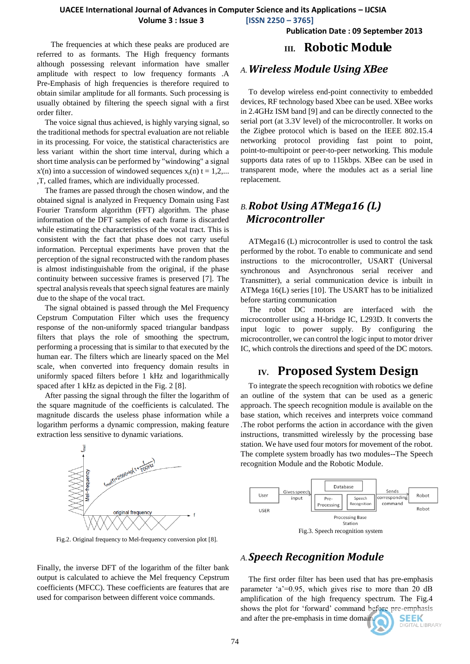## **UACEE International Journal of Advances in Computer Science and its Applications – IJCSIA**

 **Volume 3 : Issue 3 [ISSN 2250 – 3765]**

**Publication Date : 09 September 2013**

 The frequencies at which these peaks are produced are referred to as formants. The High frequency formants although possessing relevant information have smaller amplitude with respect to low frequency formants .A Pre-Emphasis of high frequencies is therefore required to obtain similar amplitude for all formants. Such processing is usually obtained by filtering the speech signal with a first order filter.

The voice signal thus achieved, is highly varying signal, so the traditional methods for spectral evaluation are not reliable in its processing. For voice, the statistical characteristics are less variant within the short time interval, during which a short time analysis can be performed by "windowing" a signal  $x'(n)$  into a succession of windowed sequences  $x_t(n)$  t = 1,2,... ,T, called frames, which are individually processed.

The frames are passed through the chosen window, and the obtained signal is analyzed in Frequency Domain using Fast Fourier Transform algorithm (FFT) algorithm. The phase information of the DFT samples of each frame is discarded while estimating the characteristics of the vocal tract. This is consistent with the fact that phase does not carry useful information. Perceptual experiments have proven that the perception of the signal reconstructed with the random phases is almost indistinguishable from the original, if the phase continuity between successive frames is preserved [7]. The spectral analysis reveals that speech signal features are mainly due to the shape of the vocal tract.

The signal obtained is passed through the Mel Frequency Cepstrum Computation Filter which uses the frequency response of the non-uniformly spaced triangular bandpass filters that plays the role of smoothing the spectrum, performing a processing that is similar to that executed by the human ear. The filters which are linearly spaced on the Mel scale, when converted into frequency domain results in uniformly spaced filters before 1 kHz and logarithmically spaced after 1 kHz as depicted in the Fig. 2 [8].

After passing the signal through the filter the logarithm of the square magnitude of the coefficients is calculated. The magnitude discards the useless phase information while a logarithm performs a dynamic compression, making feature extraction less sensitive to dynamic variations.



Fig.2. Original frequency to Mel-frequency conversion plot [8].

Finally, the inverse DFT of the logarithm of the filter bank output is calculated to achieve the Mel frequency Cepstrum coefficients (MFCC). These coefficients are features that are used for comparison between different voice commands.

## **III. Robotic Module**

#### *A.Wireless Module Using XBee*

To develop wireless end-point connectivity to embedded devices, RF technology based Xbee can be used. XBee works in 2.4GHz ISM band [9] and can be directly connected to the serial port (at 3.3V level) of the microcontroller. It works on the Zigbee protocol which is based on the IEEE 802.15.4 networking protocol providing fast point to point, point-to-multipoint or peer-to-peer networking. This module supports data rates of up to 115kbps. XBee can be used in transparent mode, where the modules act as a serial line replacement.

## *B.Robot Using ATMega16 (L) Microcontroller*

ATMega16 (L) microcontroller is used to control the task performed by the robot. To enable to communicate and send instructions to the microcontroller, USART (Universal synchronous and Asynchronous serial receiver and Transmitter), a serial communication device is inbuilt in ATMega 16(L) series [10]. The USART has to be initialized before starting communication

The robot DC motors are interfaced with the microcontroller using a H-bridge IC, L293D. It converts the input logic to power supply. By configuring the microcontroller, we can control the logic input to motor driver IC, which controls the directions and speed of the DC motors.

## **IV. Proposed System Design**

To integrate the speech recognition with robotics we define an outline of the system that can be used as a generic approach. The speech recognition module is available on the base station, which receives and interprets voice command .The robot performs the action in accordance with the given instructions, transmitted wirelessly by the processing base station. We have used four motors for movement of the robot. The complete system broadly has two modules--The Speech recognition Module and the Robotic Module.



## *A.Speech Recognition Module*

The first order filter has been used that has pre-emphasis parameter  $a^2=0.95$ , which gives rise to more than 20 dB amplification of the high frequency spectrum. The Fig.4 shows the plot for "forward" command before pre-emphasis and after the pre-emphasis in time domain. **SEEK DIGITAL LIBRARY**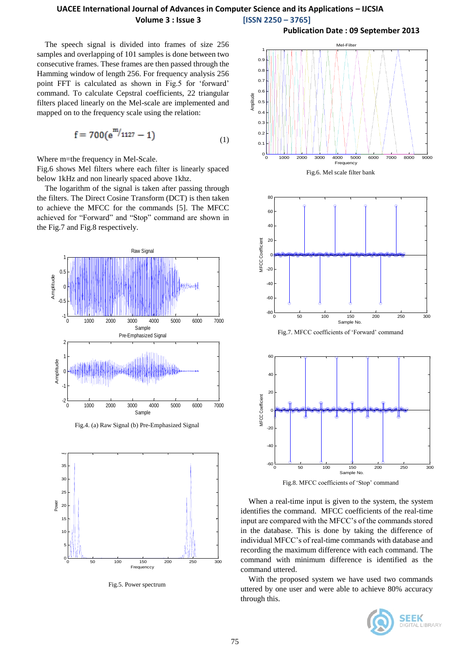#### **UACEE International Journal of Advances in Computer Science and its Applications – IJCSIA Volume 3 : Issue 3 [ISSN 2250 – 3765]**

The speech signal is divided into frames of size 256 samples and overlapping of 101 samples is done between two consecutive frames. These frames are then passed through the Hamming window of length 256. For frequency analysis 256 point FFT is calculated as shown in Fig.5 for "forward" command. To calculate Cepstral coefficients, 22 triangular filters placed linearly on the Mel-scale are implemented and mapped on to the frequency scale using the relation:

$$
f = 700(e^{m/1127} - 1)
$$
 (1)

Where m=the frequency in Mel-Scale.

Fig.6 shows Mel filters where each filter is linearly spaced below 1kHz and non linearly spaced above 1khz.

The logarithm of the signal is taken after passing through the filters. The Direct Cosine Transform (DCT) is then taken to achieve the MFCC for the commands [5]. The MFCC achieved for "Forward" and "Stop" command are shown in the Fig.7 and Fig.8 respectively.



Fig.4. (a) Raw Signal (b) Pre-Emphasized Signal



Fig.5. Power spectrum





Fig.7. MFCC coefficients of "Forward" command



Fig.8. MFCC coefficients of 'Stop' command

When a real-time input is given to the system, the system identifies the command. MFCC coefficients of the real-time input are compared with the MFCC"s of the commands stored in the database. This is done by taking the difference of individual MFCC"s of real-time commands with database and recording the maximum difference with each command. The command with minimum difference is identified as the command uttered.

With the proposed system we have used two commands uttered by one user and were able to achieve 80% accuracy through this.